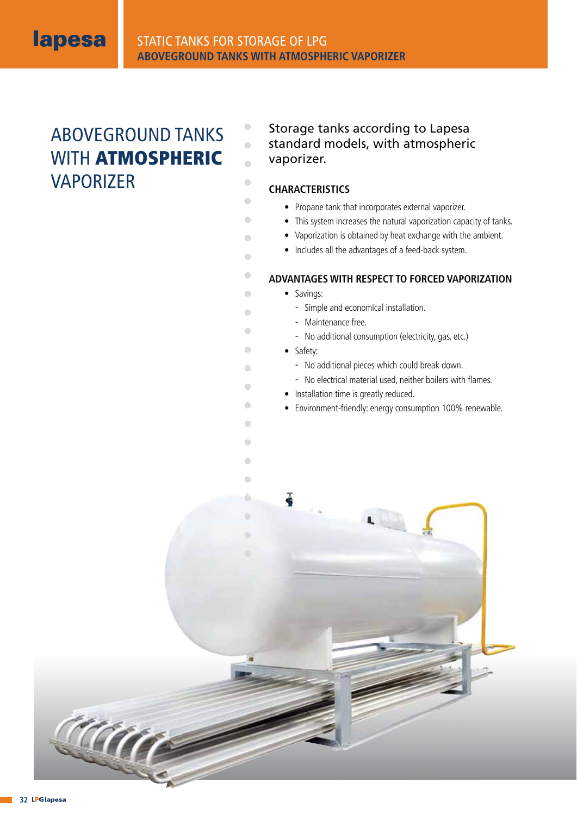

 $\bullet$  $\bullet$  $\overline{\phantom{a}}$ 

 $\begin{array}{c} \bullet \\ \bullet \end{array}$  $\begin{array}{c} \bullet \\ \bullet \end{array}$  $\bullet$  $\bullet$  $\begin{array}{c} \begin{array}{c} \begin{array}{c} \begin{array}{c} \end{array} \end{array} \end{array} \end{array} \end{array}$  $\blacksquare$  $\bullet$  $\begin{array}{c} \bullet \\ \bullet \end{array}$  $\begin{array}{c} \hline \end{array}$  $\bullet$  $\begin{array}{c} \begin{array}{c} \begin{array}{c} \begin{array}{c} \end{array} \end{array} \end{array} \end{array} \end{array}$  $\Box$  $\begin{array}{ccc} \bullet & \bullet & \bullet \\ \bullet & \bullet & \bullet \end{array}$  $\Box$  $\bullet$  $\bullet$ 

# ABOVEGROUND TANKS WITH **ATMOSPHERIC**  VAPORIZER

Storage tanks according to Lapesa standard models, with atmospheric vaporizer.

## **CHARACTERISTICS**

- Propane tank that incorporates external vaporizer.
- This system increases the natural vaporization capacity of tanks.
- Vaporization is obtained by heat exchange with the ambient.
- Includes all the advantages of a feed-back system.

## **ADVANTAGES WITH RESPECT TO FORCED VAPORIZATION**

- Savings:
	- Simple and economical installation.
	- Maintenance free.
	- No additional consumption (electricity, gas, etc.)
- Safety:

ä

Ò  $\bullet$ 

- No additional pieces which could break down.
- No electrical material used, neither boilers with flames.
- Installation time is greatly reduced.
- Environment-friendly: energy consumption 100% renewable.